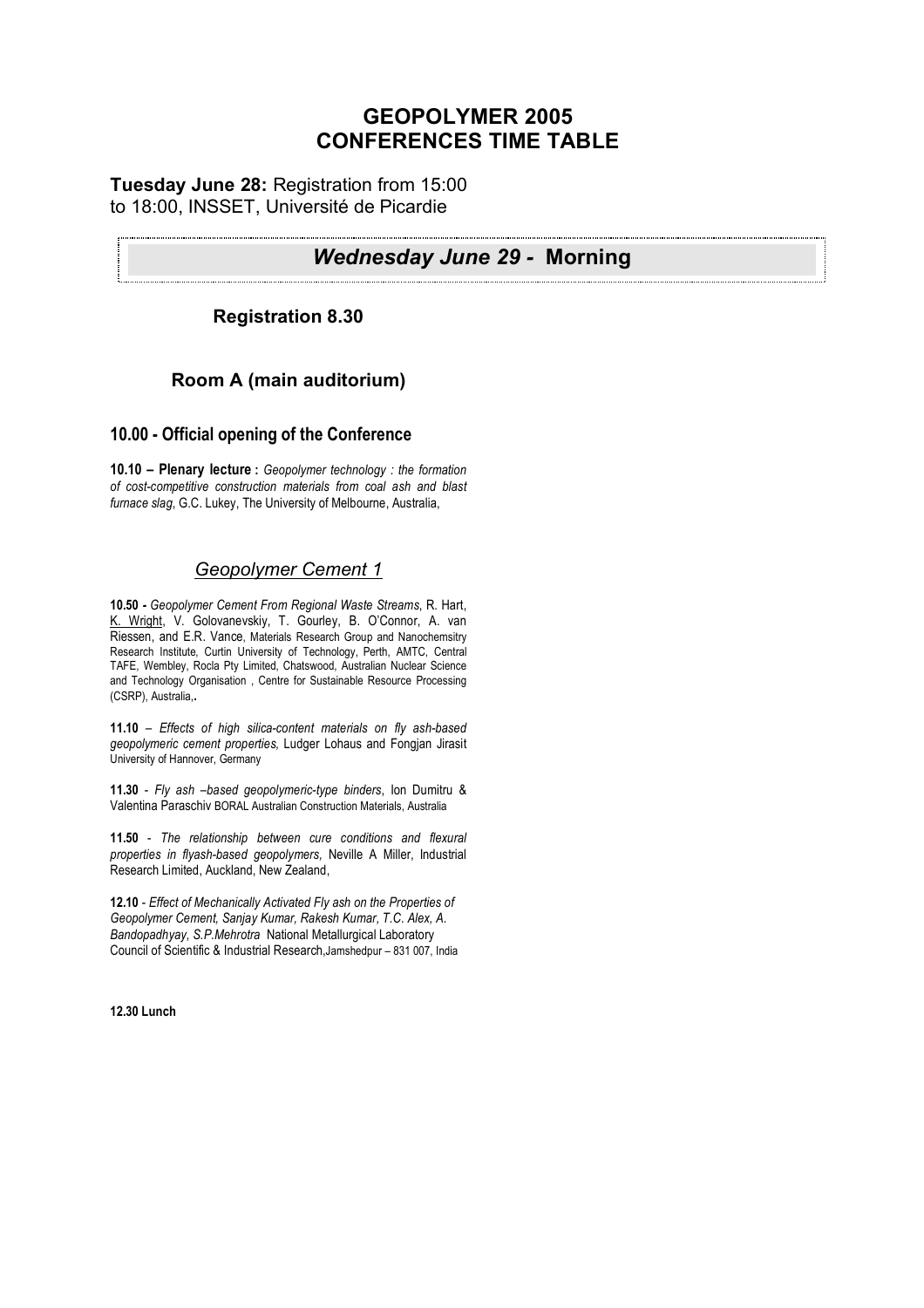# **GEOPOLYMER 2005 CONFERENCES TIME TABLE**

## **Tuesday June 28:** Registration from 15:00 to 18:00, INSSET, Université de Picardie

# *Wednesday June 29 -* **Morning**

# **Registration 8.30**

# **Room A (main auditorium)**

### **10.00 - Official opening of the Conference**

**10.10 – Plenary lecture :** *Geopolymer technology : the formation of cost-competitive construction materials from coal ash and blast furnace slag*, G.C. Lukey, The University of Melbourne, Australia,

# *Geopolymer Cement 1*

**10.50** *- Geopolymer Cement From Regional Waste Streams*, R. Hart, K. Wright, V. Golovanevskiy, T. Gourley, B. O'Connor, A. van Riessen, and E.R. Vance, Materials Research Group and Nanochemsitry Research Institute, Curtin University of Technology, Perth, AMTC, Central TAFE, Wembley, Rocla Pty Limited, Chatswood, Australian Nuclear Science and Technology Organisation , Centre for Sustainable Resource Processing (CSRP), Australia,**.**

**11.10** – *Effects of high silica-content materials on fly ash-based geopolymeric cement properties,* Ludger Lohaus and Fongjan Jirasit University of Hannover, Germany

**11.30** - *Fly ash –based geopolymeric-type binders*, Ion Dumitru & Valentina Paraschiv BORAL Australian Construction Materials, Australia

**11.50** - *The relationship between cure conditions and flexural properties in flyash-based geopolymers,* Neville A Miller, Industrial Research Limited, Auckland, New Zealand,

**12.10** - *Effect of Mechanically Activated Fly ash on the Properties of Geopolymer Cement, Sanjay Kumar, Rakesh Kumar, T.C. Alex, A. Bandopadhyay, S.P.Mehrotra* National Metallurgical Laboratory Council of Scientific & Industrial Research,Jamshedpur – 831 007, India

**12.30 Lunch**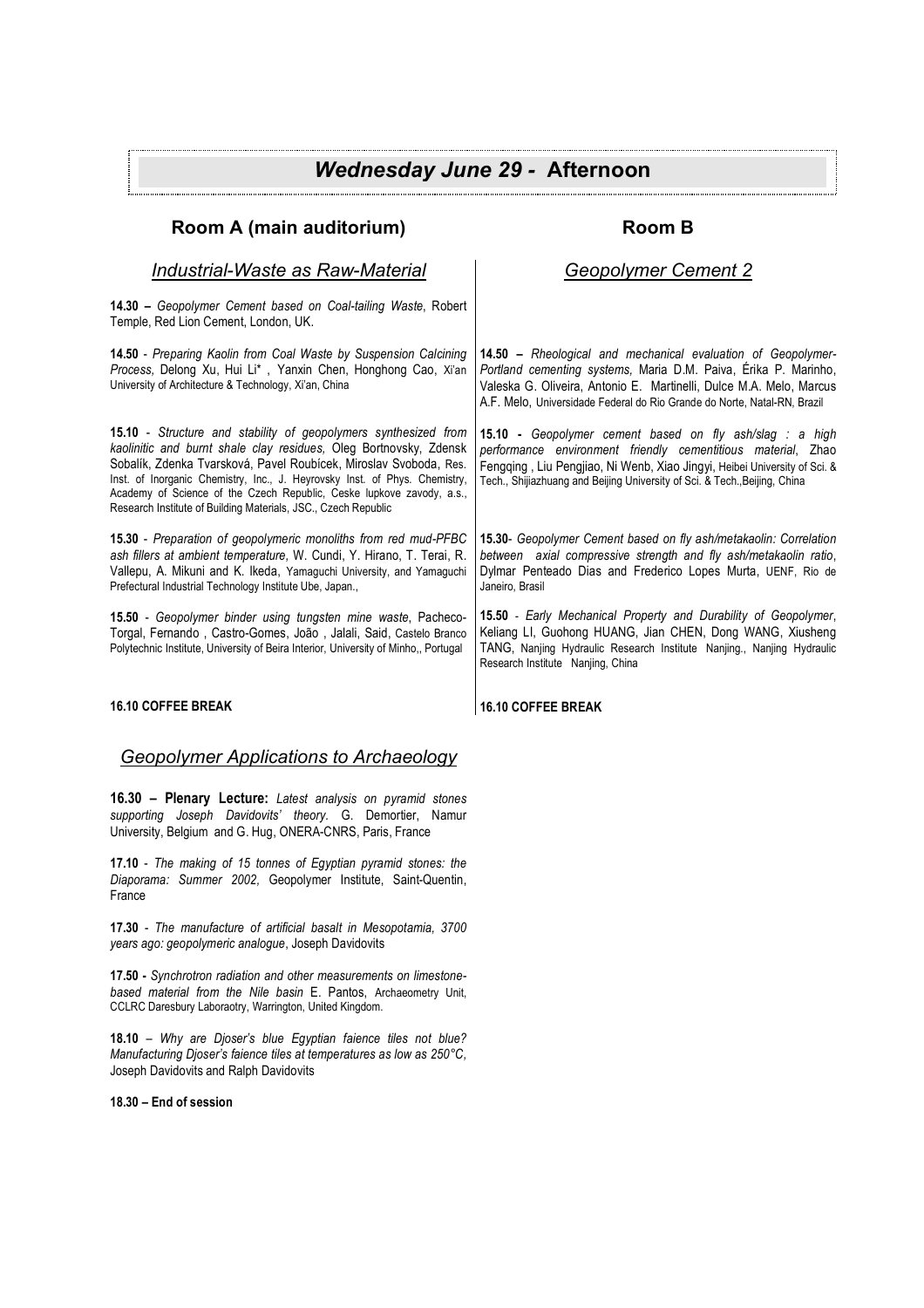# *Wednesday June 29 -* **Afternoon**

## **Room A (main auditorium)**

#### *Industrial-Waste as Raw-Material*

**14.30 –** *Geopolymer Cement based on Coal-tailing Waste*, Robert Temple, Red Lion Cement, London, UK.

**14.50** - *Preparing Kaolin from Coal Waste by Suspension Calcining Process,* Delong Xu, Hui Li\* , Yanxin Chen, Honghong Cao, Xi'an University of Architecture & Technology, Xi'an, China

**15.10** - *Structure and stability of geopolymers synthesized from kaolinitic and burnt shale clay residues,* Oleg Bortnovsky, Zdensk Sobalík, Zdenka Tvarsková, Pavel Roubícek, Miroslav Svoboda, Res. Inst. of Inorganic Chemistry, Inc., J. Heyrovsky Inst. of Phys. Chemistry, Academy of Science of the Czech Republic, Ceske lupkove zavody, a.s., Research Institute of Building Materials, JSC., Czech Republic

**15.30** - *Preparation of geopolymeric monoliths from red mud-PFBC ash fillers at ambient temperature,* W. Cundi, Y. Hirano, T. Terai, R. Vallepu, A. Mikuni and K. Ikeda, Yamaguchi University, and Yamaguchi Prefectural Industrial Technology Institute Ube, Japan.,

**15.50** - *Geopolymer binder using tungsten mine waste*, Pacheco-Torgal, Fernando , Castro-Gomes, João , Jalali, Said, Castelo Branco Polytechnic Institute, University of Beira Interior, University of Minho,, Portugal

#### **16.10 COFFEE BREAK**

#### *Geopolymer Applications to Archaeology*

**16.30 – Plenary Lecture:** *Latest analysis on pyramid stones supporting Joseph Davidovits' theory.* G. Demortier, Namur University, Belgium and G. Hug, ONERA-CNRS, Paris, France

**17.10** - *The making of 15 tonnes of Egyptian pyramid stones: the Diaporama: Summer 2002,* Geopolymer Institute, Saint-Quentin, France

**17.30** - *The manufacture of artificial basalt in Mesopotamia, 3700 years ago: geopolymeric analogue*, Joseph Davidovits

**17.50 -** *Synchrotron radiation and other measurements on limestonebased material from the Nile basin* E. Pantos, Archaeometry Unit, CCLRC Daresbury Laboraotry, Warrington, United Kingdom.

**18.10** – *Why are Djoser's blue Egyptian faience tiles not blue? Manufacturing Djoser's faience tiles at temperatures as low as 250°C,* Joseph Davidovits and Ralph Davidovits

**18.30 – End of session**

## **Room B**

### *Geopolymer Cement 2*

**14.50 –** *Rheological and mechanical evaluation of Geopolymer-Portland cementing systems,* Maria D.M. Paiva, Érika P. Marinho, Valeska G. Oliveira, Antonio E. Martinelli, Dulce M.A. Melo, Marcus A.F. Melo, Universidade Federal do Rio Grande do Norte, Natal-RN, Brazil

**15.10 -** *Geopolymer cement based on fly ash/slag : a high performance environment friendly cementitious material*, Zhao Fengqing , Liu Pengjiao, Ni Wenb, Xiao Jingyi, Heibei University of Sci. & Tech., Shijiazhuang and Beijing University of Sci. & Tech.,Beijing, China

**15.30**- *Geopolymer Cement based on fly ash/metakaolin: Correlation between axial compressive strength and fly ash/metakaolin ratio*, Dylmar Penteado Dias and Frederico Lopes Murta, UENF, Rio de Janeiro, Brasil

**15.50** - *Early Mechanical Property and Durability of Geopolymer*, Keliang LI, Guohong HUANG, Jian CHEN, Dong WANG, Xiusheng TANG, Nanjing Hydraulic Research Institute Nanjing., Nanjing Hydraulic Research Institute Nanjing, China

**16.10 COFFEE BREAK**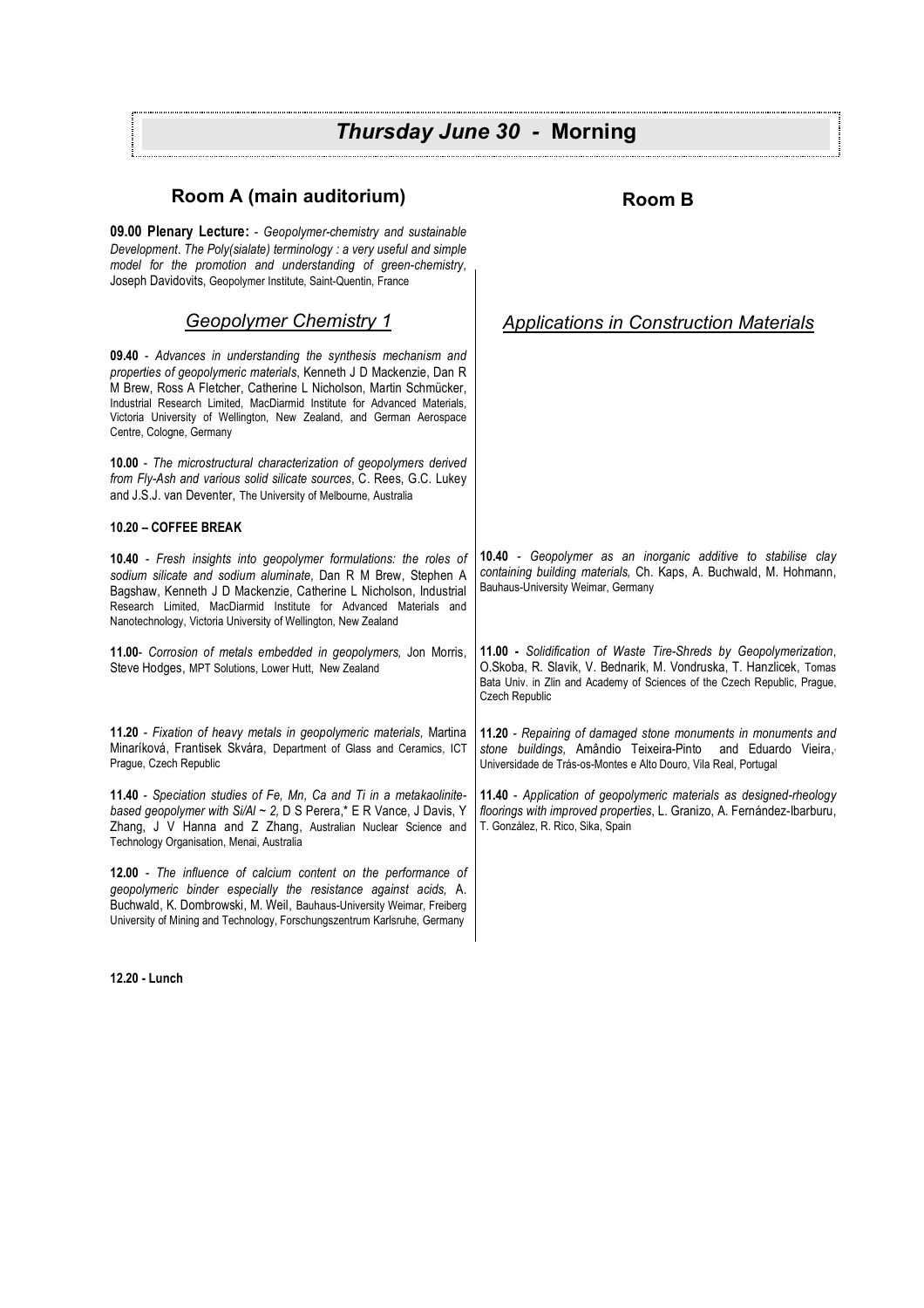#### **Room A (main auditorium) 09.00 Plenary Lecture:** - *Geopolymer-chemistry and sustainable Development*. *The Poly(sialate) terminology : a very useful and simple model for the promotion and understanding of green-chemistry,* Joseph Davidovits, Geopolymer Institute, Saint-Quentin, France *Geopolymer Chemistry 1* **09.40** - *Advances in understanding the synthesis mechanism and properties of geopolymeric materials*, Kenneth J D Mackenzie, Dan R M Brew, Ross A Fletcher, Catherine L Nicholson, Martin Schmücker, Industrial Research Limited, MacDiarmid Institute for Advanced Materials, Victoria University of Wellington, New Zealand, and German Aerospace Centre, Cologne, Germany **10.00** - *The microstructural characterization of geopolymers derived from Fly-Ash and various solid silicate sources*, C. Rees, G.C. Lukey and J.S.J. van Deventer, The University of Melbourne, Australia **10.20 – COFFEE BREAK 10.40** - *Fresh insights into geopolymer formulations: the roles of sodium silicate and sodium aluminate,* Dan R M Brew, Stephen A Bagshaw, Kenneth J D Mackenzie, Catherine L Nicholson, Industrial Research Limited, MacDiarmid Institute for Advanced Materials and Nanotechnology, Victoria University of Wellington, New Zealand **11.00**- *Corrosion of metals embedded in geopolymers,* Jon Morris, Steve Hodges, MPT Solutions, Lower Hutt, New Zealand **11.20** - *Fixation of heavy metals in geopolymeric materials,* Martina Minaríková, Frantisek Skvára, Department of Glass and Ceramics, ICT Prague, Czech Republic **11.40** - *Speciation studies of Fe, Mn, Ca and Ti in a metakaolinitebased geopolymer with Si/Al ~ 2,* D S Perera,\* E R Vance, J Davis, Y Zhang, J V Hanna and Z Zhang, Australian Nuclear Science and Technology Organisation, Menai, Australia **12.00** - *The influence of calcium content on the performance of geopolymeric binder especially the resistance against acids,* A. Buchwald, K. Dombrowski, M. Weil, Bauhaus-University Weimar, Freiberg University of Mining and Technology, Forschungszentrum Karlsruhe, Germany **Room B** *Applications in Construction Materials* **10.40** - *Geopolymer as an inorganic additive to stabilise clay containing building materials,* Ch. Kaps, A. Buchwald, M. Hohmann, Bauhaus-University Weimar, Germany **11.00 -** *Solidification of Waste Tire-Shreds by Geopolymerization*, O.Skoba, R. Slavik, V. Bednarik, M. Vondruska, T. Hanzlicek, Tomas Bata Univ. in Zlin and Academy of Sciences of the Czech Republic, Prague, Czech Republic **11.20** - *Repairing of damaged stone monuments in monuments and stone buildings,* Amândio Teixeira-Pinto and Eduardo Vieira, , Universidade de Trás-os-Montes e Alto Douro, Vila Real, Portugal **11.40** - *Application of geopolymeric materials as designed-rheology floorings with improved properties*, L. Granizo, A. Fernández-Ibarburu, T. González, R. Rico, Sika, Spain *Thursday June 30 -* **Morning**

**12.20 - Lunch**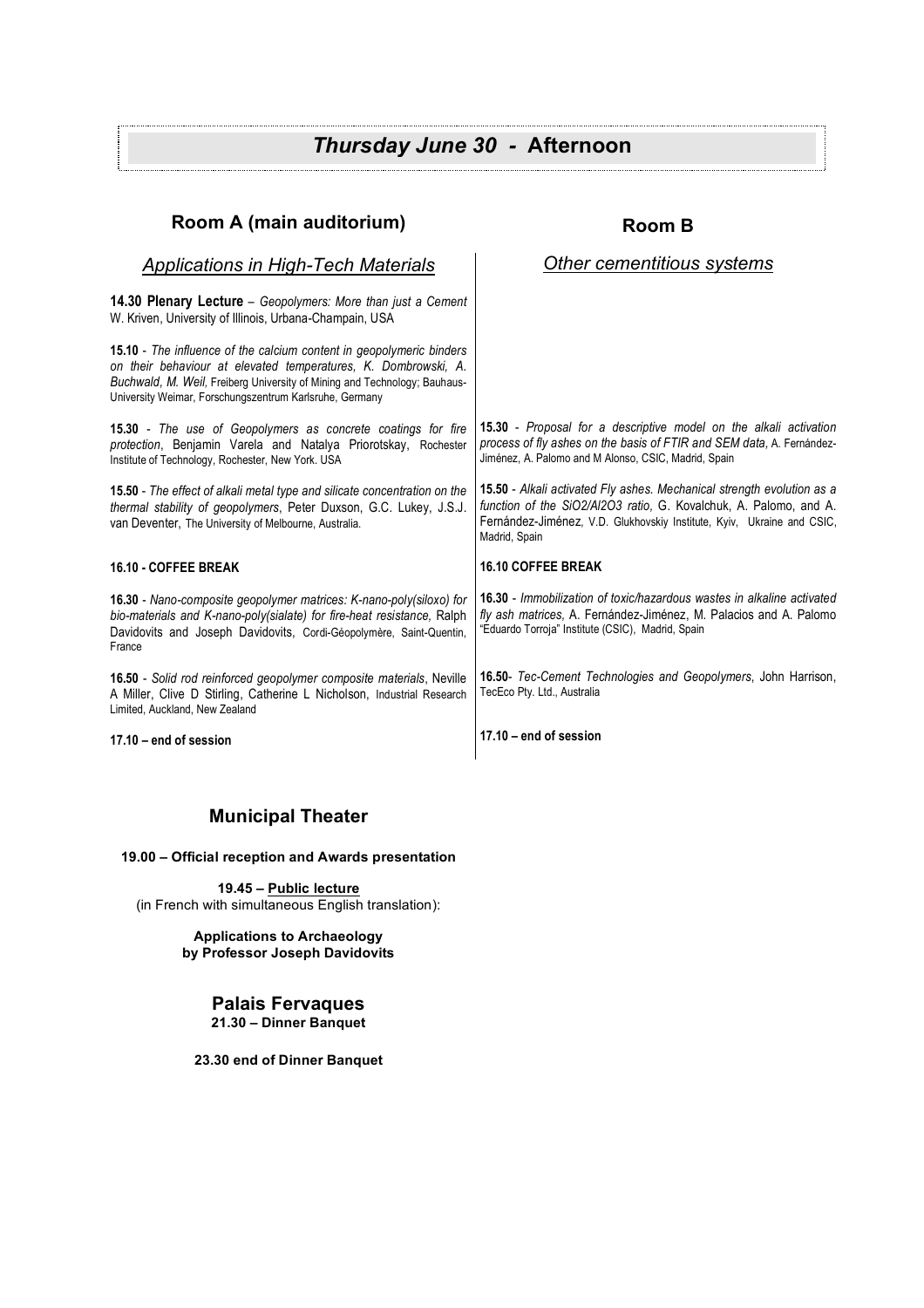# *Thursday June 30 -* **Afternoon**

| Room A (main auditorium)                                                                                                                                                                                                                                                       | <b>Room B</b>                                                                                                                                                                                                                          |
|--------------------------------------------------------------------------------------------------------------------------------------------------------------------------------------------------------------------------------------------------------------------------------|----------------------------------------------------------------------------------------------------------------------------------------------------------------------------------------------------------------------------------------|
| <b>Applications in High-Tech Materials</b>                                                                                                                                                                                                                                     | Other cementitious systems                                                                                                                                                                                                             |
| <b>14.30 Plenary Lecture</b> – Geopolymers: More than just a Cement<br>W. Kriven, University of Illinois, Urbana-Champain, USA                                                                                                                                                 |                                                                                                                                                                                                                                        |
| 15.10 - The influence of the calcium content in geopolymeric binders<br>on their behaviour at elevated temperatures, K. Dombrowski, A.<br>Buchwald, M. Weil, Freiberg University of Mining and Technology; Bauhaus-<br>University Weimar, Forschungszentrum Karlsruhe, Germany |                                                                                                                                                                                                                                        |
| 15.30 - The use of Geopolymers as concrete coatings for fire<br>protection, Benjamin Varela and Natalya Priorotskay, Rochester<br>Institute of Technology, Rochester, New York. USA                                                                                            | <b>15.30</b> - Proposal for a descriptive model on the alkali activation<br>process of fly ashes on the basis of FTIR and SEM data, A. Fernández-<br>Jiménez, A. Palomo and M Alonso, CSIC, Madrid, Spain                              |
| <b>15.50</b> - The effect of alkali metal type and silicate concentration on the<br>thermal stability of geopolymers, Peter Duxson, G.C. Lukey, J.S.J.<br>van Deventer, The University of Melbourne, Australia.                                                                | 15.50 - Alkali activated Fly ashes. Mechanical strength evolution as a<br>function of the SiO2/AI2O3 ratio, G. Kovalchuk, A. Palomo, and A.<br>Fernández-Jiménez, V.D. Glukhovskiy Institute, Kyiv, Ukraine and CSIC,<br>Madrid, Spain |
| 16.10 - COFFEE BREAK                                                                                                                                                                                                                                                           | <b>16.10 COFFEE BREAK</b>                                                                                                                                                                                                              |
| <b>16.30</b> - Nano-composite geopolymer matrices: K-nano-poly(siloxo) for<br>bio-materials and K-nano-poly(sialate) for fire-heat resistance, Ralph<br>Davidovits and Joseph Davidovits, Cordi-Géopolymère, Saint-Quentin,<br>France                                          | <b>16.30</b> - Immobilization of toxic/hazardous wastes in alkaline activated<br>fly ash matrices, A. Fernández-Jiménez, M. Palacios and A. Palomo<br>"Eduardo Torroja" Institute (CSIC), Madrid, Spain                                |
| 16.50 - Solid rod reinforced geopolymer composite materials, Neville<br>A Miller, Clive D Stirling, Catherine L Nicholson, Industrial Research<br>Limited, Auckland, New Zealand                                                                                               | 16.50- Tec-Cement Technologies and Geopolymers, John Harrison,<br>TecEco Pty. Ltd., Australia                                                                                                                                          |
| $17.10 - end$ of session                                                                                                                                                                                                                                                       | $17.10 -$ end of session                                                                                                                                                                                                               |

# **Municipal Theater**

**19.00 – Official reception and Awards presentation**

**19.45 – Public lecture** (in French with simultaneous English translation):

> **Applications to Archaeology by Professor Joseph Davidovits**

> > **Palais Fervaques 21.30 – Dinner Banquet**

**23.30 end of Dinner Banquet**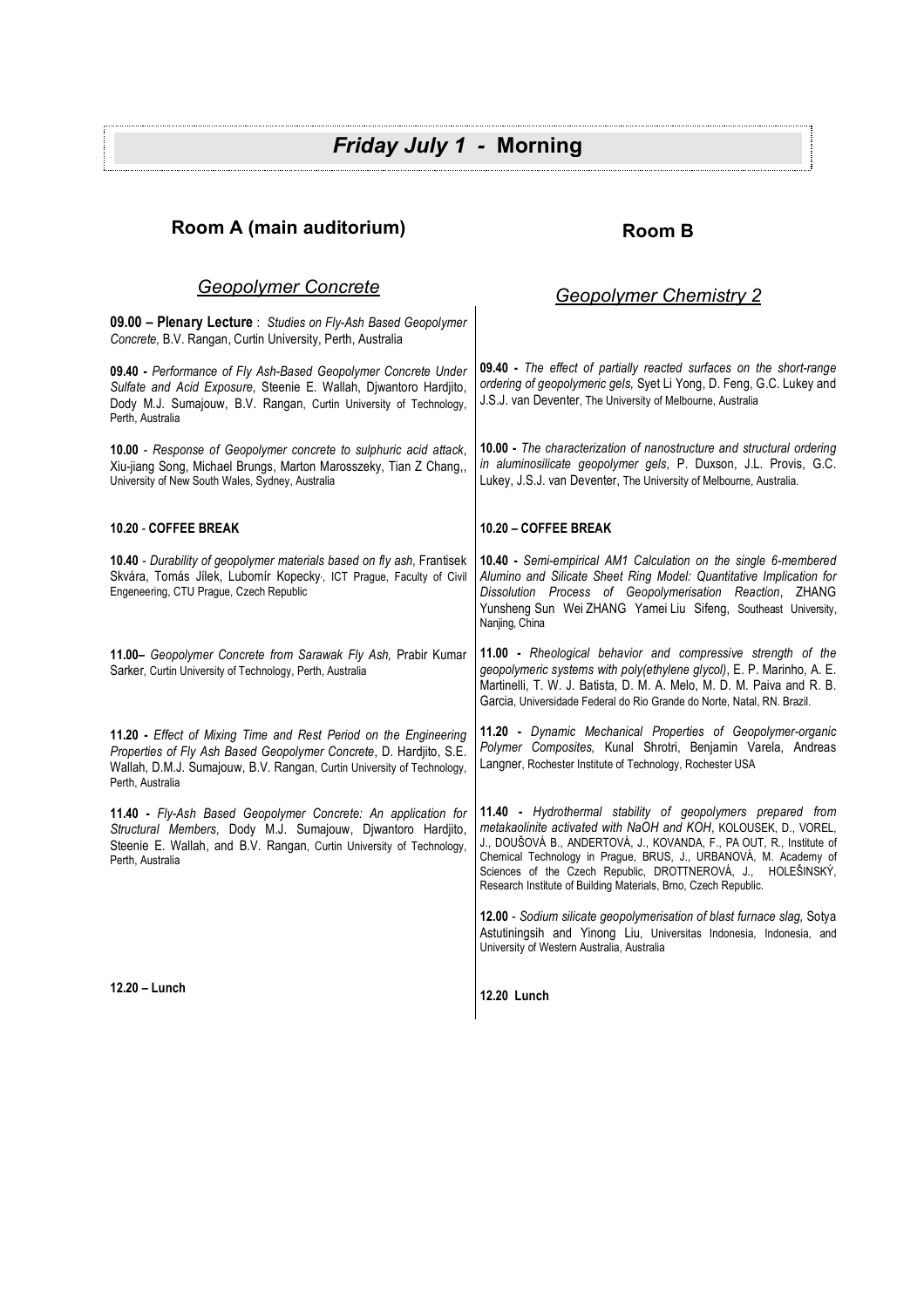# *Friday July 1 -* **Morning**

## **Room A (main auditorium)**

# **Room B**

*Geopolymer Chemistry 2*

### *Geopolymer Concrete*

**09.00 – Plenary Lecture** : *Studies on Fly-Ash Based Geopolymer Concrete,* B.V. Rangan, Curtin University, Perth, Australia **09.40 -** *Performance of Fly Ash-Based Geopolymer Concrete Under Sulfate and Acid Exposure*, Steenie E. Wallah, Djwantoro Hardjito, Dody M.J. Sumajouw, B.V. Rangan, Curtin University of Technology, Perth, Australia **10.00** - *Response of Geopolymer concrete to sulphuric acid attack*, Xiu-jiang Song, Michael Brungs, Marton Marosszeky, Tian Z Chang,, University of New South Wales, Sydney, Australia **10.20** - **COFFEE BREAK 10.40** - *Durability of geopolymer materials based on fly ash*, Frantisek Skvára, Tomás Jílek, Lubomír Kopecky, ICT Prague, Faculty of Civil Engeneering, CTU Prague, Czech Republic **11.00–** *Geopolymer Concrete from Sarawak Fly Ash,* Prabir Kumar Sarker, Curtin University of Technology, Perth, Australia **11.20 -** *Effect of Mixing Time and Rest Period on the Engineering Properties of Fly Ash Based Geopolymer Concrete*, D. Hardjito, S.E. Wallah, D.M.J. Sumajouw, B.V. Rangan, Curtin University of Technology, Perth, Australia **11.40 -** *Fly-Ash Based Geopolymer Concrete: An application for Structural Members,* Dody M.J. Sumajouw, Djwantoro Hardjito, Steenie E. Wallah, and B.V. Rangan, Curtin University of Technology, Perth, Australia **09.40 -** *The effect of partially reacted surfaces on the short-range ordering of geopolymeric gels,* Syet Li Yong, D. Feng, G.C. Lukey and J.S.J. van Deventer, The University of Melbourne, Australia **10.00 -** *The characterization of nanostructure and structural ordering in aluminosilicate geopolymer gels,* P. Duxson, J.L. Provis, G.C. Lukey, J.S.J. van Deventer, The University of Melbourne, Australia. **10.20 – COFFEE BREAK 10.40 -** *Semi-empirical AM1 Calculation on the single 6-membered Alumino and Silicate Sheet Ring Model: Quantitative Implication for Dissolution Process of Geopolymerisation Reaction*, ZHANG Yunsheng Sun Wei ZHANG Yamei Liu Sifeng, Southeast University, Nanjing, China **11.00 -** *Rheological behavior and compressive strength of the geopolymeric systems with poly(ethylene glycol)*, E. P. Marinho, A. E. Martinelli, T. W. J. Batista, D. M. A. Melo, M. D. M. Paiva and R. B. Garcia, Universidade Federal do Rio Grande do Norte, Natal, RN. Brazil. **11.20 -** *Dynamic Mechanical Properties of Geopolymer-organic Polymer Composites,* Kunal Shrotri, Benjamin Varela, Andreas Langner, Rochester Institute of Technology, Rochester USA **11.40 -** *Hydrothermal stability of geopolymers prepared from metakaolinite activated with NaOH and KOH*, KOLOUSEK, D., VOREL, J., DOUŠOVÁ B., ANDERTOVÁ, J., KOVANDA, F., PAOUT, R., Institute of Chemical Technology in Prague, BRUS, J., URBANOVÁ, M. Academy of Sciences of the Czech Republic, DROTTNEROVÁ, J., HOLEŠINSKÝ, Research Institute of Building Materials, Brno, Czech Republic. **12.00** - *Sodium silicate geopolymerisation of blast furnace slag,* Sotya Astutiningsih and Yinong Liu, Universitas Indonesia, Indonesia, and University of Western Australia, Australia

**12.20 – Lunch**

**12.20 Lunch**